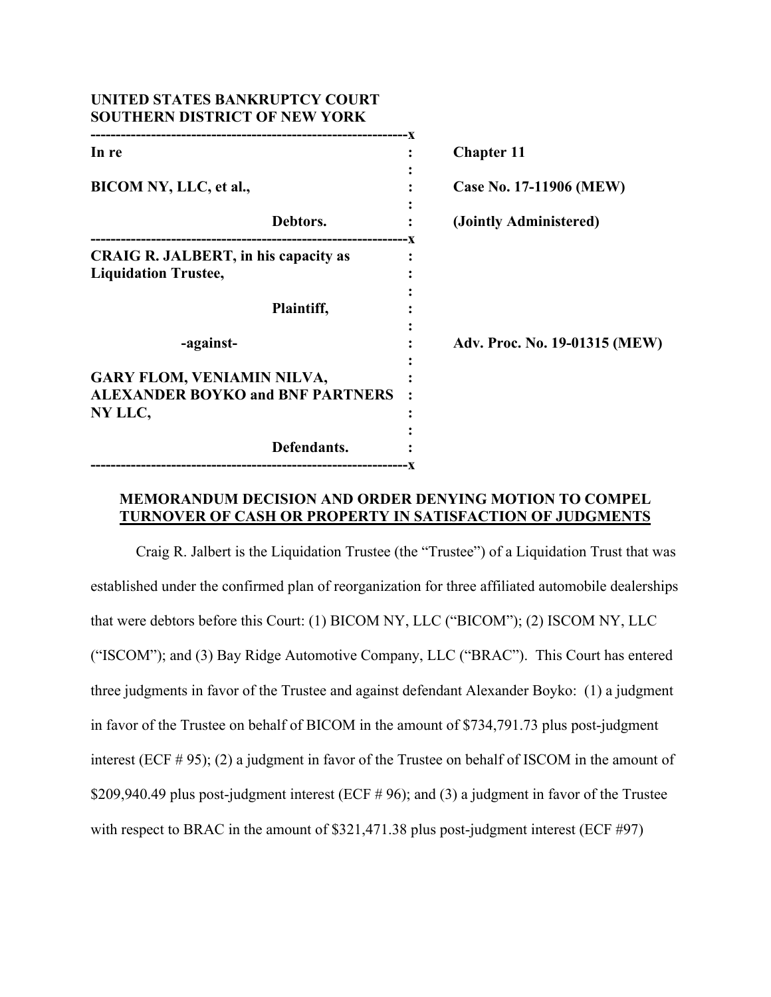| UNITED STATES BANKRUPTCY COURT<br><b>SOUTHERN DISTRICT OF NEW YORK</b>                  |                               |
|-----------------------------------------------------------------------------------------|-------------------------------|
| In re                                                                                   | <b>Chapter 11</b>             |
| BICOM NY, LLC, et al.,                                                                  | Case No. 17-11906 (MEW)       |
| Debtors.                                                                                | (Jointly Administered)        |
| CRAIG R. JALBERT, in his capacity as<br><b>Liquidation Trustee,</b>                     |                               |
| Plaintiff,                                                                              |                               |
| -against-                                                                               | Adv. Proc. No. 19-01315 (MEW) |
| <b>GARY FLOM, VENIAMIN NILVA,</b><br><b>ALEXANDER BOYKO and BNF PARTNERS</b><br>NY LLC, |                               |
| Defendants.                                                                             |                               |

## **MEMORANDUM DECISION AND ORDER DENYING MOTION TO COMPEL TURNOVER OF CASH OR PROPERTY IN SATISFACTION OF JUDGMENTS**

Craig R. Jalbert is the Liquidation Trustee (the "Trustee") of a Liquidation Trust that was established under the confirmed plan of reorganization for three affiliated automobile dealerships that were debtors before this Court: (1) BICOM NY, LLC ("BICOM"); (2) ISCOM NY, LLC ("ISCOM"); and (3) Bay Ridge Automotive Company, LLC ("BRAC"). This Court has entered three judgments in favor of the Trustee and against defendant Alexander Boyko: (1) a judgment in favor of the Trustee on behalf of BICOM in the amount of \$734,791.73 plus post-judgment interest (ECF # 95); (2) a judgment in favor of the Trustee on behalf of ISCOM in the amount of \$209,940.49 plus post-judgment interest (ECF # 96); and (3) a judgment in favor of the Trustee with respect to BRAC in the amount of \$321,471.38 plus post-judgment interest (ECF #97)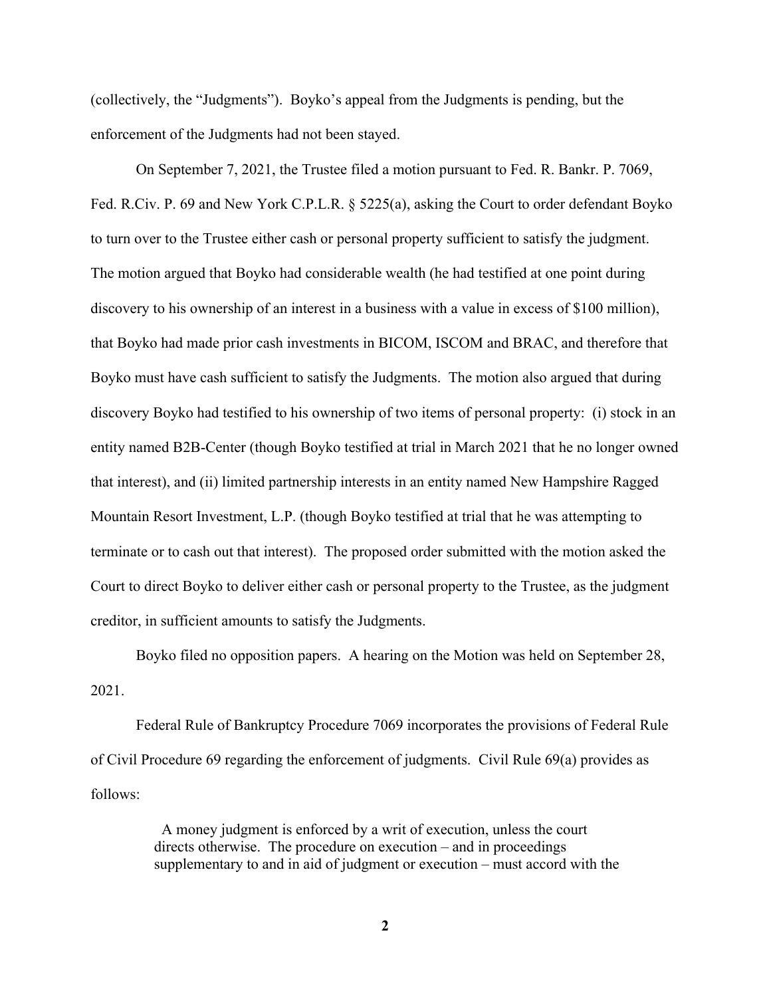(collectively, the "Judgments"). Boyko's appeal from the Judgments is pending, but the enforcement of the Judgments had not been stayed.

On September 7, 2021, the Trustee filed a motion pursuant to Fed. R. Bankr. P. 7069, Fed. R.Civ. P. 69 and New York C.P.L.R. § 5225(a), asking the Court to order defendant Boyko to turn over to the Trustee either cash or personal property sufficient to satisfy the judgment. The motion argued that Boyko had considerable wealth (he had testified at one point during discovery to his ownership of an interest in a business with a value in excess of \$100 million), that Boyko had made prior cash investments in BICOM, ISCOM and BRAC, and therefore that Boyko must have cash sufficient to satisfy the Judgments. The motion also argued that during discovery Boyko had testified to his ownership of two items of personal property: (i) stock in an entity named B2B-Center (though Boyko testified at trial in March 2021 that he no longer owned that interest), and (ii) limited partnership interests in an entity named New Hampshire Ragged Mountain Resort Investment, L.P. (though Boyko testified at trial that he was attempting to terminate or to cash out that interest). The proposed order submitted with the motion asked the Court to direct Boyko to deliver either cash or personal property to the Trustee, as the judgment creditor, in sufficient amounts to satisfy the Judgments.

Boyko filed no opposition papers. A hearing on the Motion was held on September 28, 2021.

Federal Rule of Bankruptcy Procedure 7069 incorporates the provisions of Federal Rule of Civil Procedure 69 regarding the enforcement of judgments. Civil Rule 69(a) provides as follows:

> A money judgment is enforced by a writ of execution, unless the court directs otherwise. The procedure on execution – and in proceedings supplementary to and in aid of judgment or execution – must accord with the

> > **2**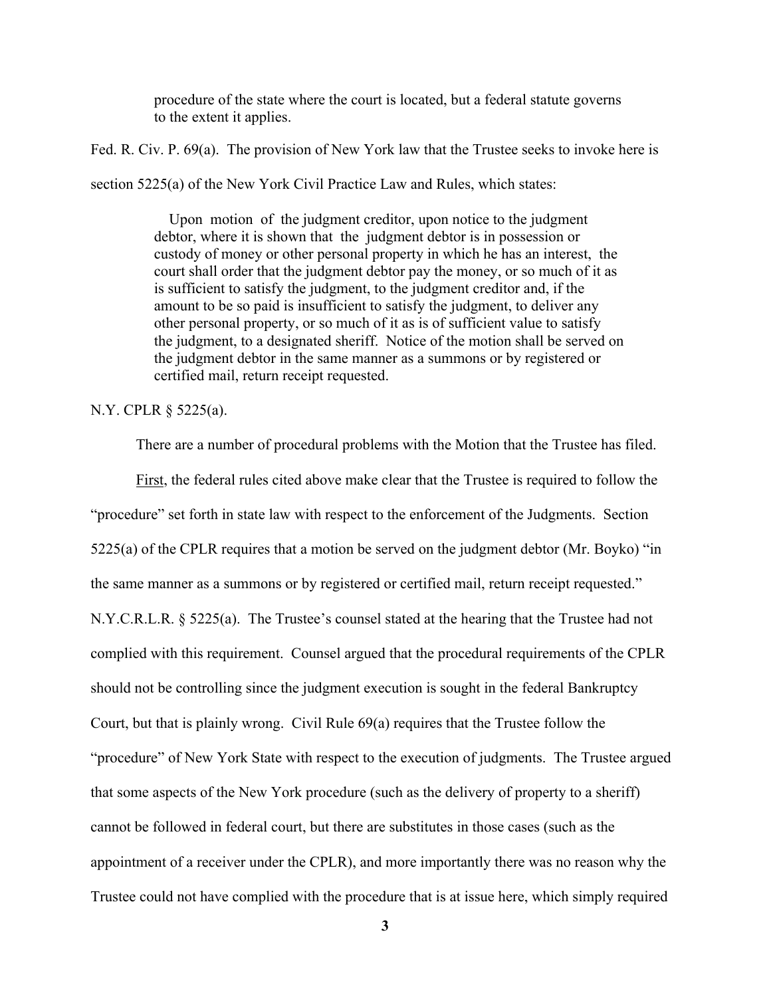procedure of the state where the court is located, but a federal statute governs to the extent it applies.

Fed. R. Civ. P. 69(a). The provision of New York law that the Trustee seeks to invoke here is

section 5225(a) of the New York Civil Practice Law and Rules, which states:

 Upon motion of the judgment creditor, upon notice to the judgment debtor, where it is shown that the judgment debtor is in possession or custody of money or other personal property in which he has an interest, the court shall order that the judgment debtor pay the money, or so much of it as is sufficient to satisfy the judgment, to the judgment creditor and, if the amount to be so paid is insufficient to satisfy the judgment, to deliver any other personal property, or so much of it as is of sufficient value to satisfy the judgment, to a designated sheriff. Notice of the motion shall be served on the judgment debtor in the same manner as a summons or by registered or certified mail, return receipt requested.

N.Y. CPLR § 5225(a).

There are a number of procedural problems with the Motion that the Trustee has filed. First, the federal rules cited above make clear that the Trustee is required to follow the "procedure" set forth in state law with respect to the enforcement of the Judgments. Section 5225(a) of the CPLR requires that a motion be served on the judgment debtor (Mr. Boyko) "in the same manner as a summons or by registered or certified mail, return receipt requested." N.Y.C.R.L.R. § 5225(a). The Trustee's counsel stated at the hearing that the Trustee had not complied with this requirement. Counsel argued that the procedural requirements of the CPLR should not be controlling since the judgment execution is sought in the federal Bankruptcy Court, but that is plainly wrong. Civil Rule 69(a) requires that the Trustee follow the "procedure" of New York State with respect to the execution of judgments. The Trustee argued that some aspects of the New York procedure (such as the delivery of property to a sheriff) cannot be followed in federal court, but there are substitutes in those cases (such as the appointment of a receiver under the CPLR), and more importantly there was no reason why the Trustee could not have complied with the procedure that is at issue here, which simply required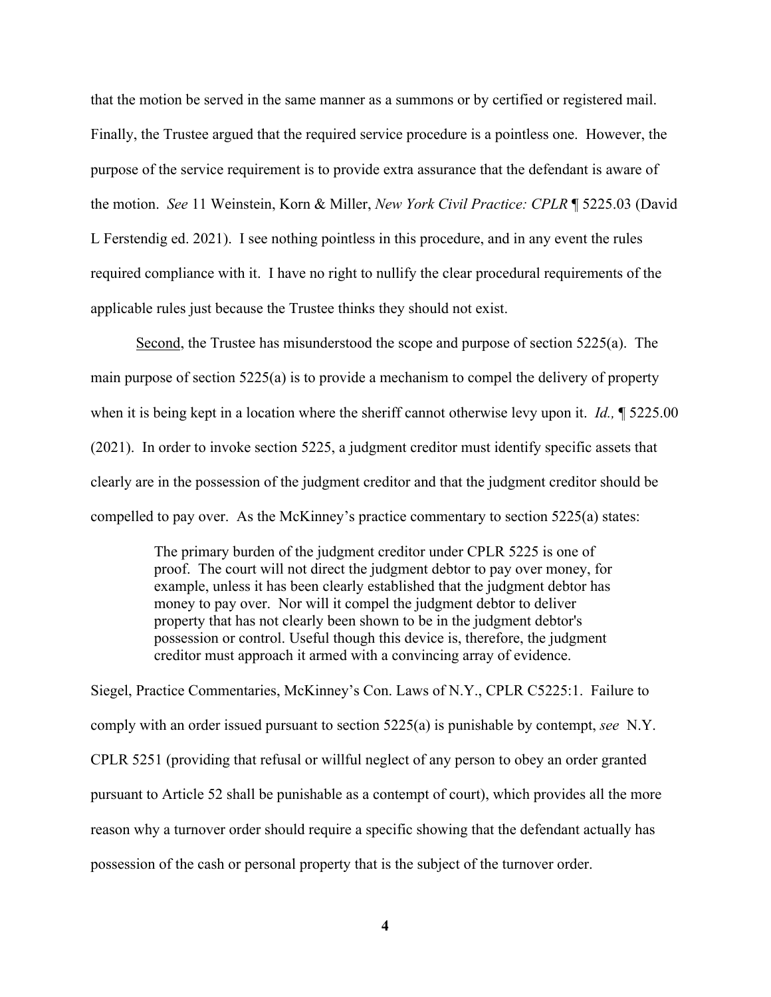that the motion be served in the same manner as a summons or by certified or registered mail. Finally, the Trustee argued that the required service procedure is a pointless one. However, the purpose of the service requirement is to provide extra assurance that the defendant is aware of the motion. *See* 11 Weinstein, Korn & Miller, *New York Civil Practice: CPLR* ¶ 5225.03 (David L Ferstendig ed. 2021). I see nothing pointless in this procedure, and in any event the rules required compliance with it. I have no right to nullify the clear procedural requirements of the applicable rules just because the Trustee thinks they should not exist.

Second, the Trustee has misunderstood the scope and purpose of section 5225(a). The main purpose of section 5225(a) is to provide a mechanism to compel the delivery of property when it is being kept in a location where the sheriff cannot otherwise levy upon it. *Id.,* ¶ 5225.00 (2021). In order to invoke section 5225, a judgment creditor must identify specific assets that clearly are in the possession of the judgment creditor and that the judgment creditor should be compelled to pay over. As the McKinney's practice commentary to section 5225(a) states:

> The primary burden of the judgment creditor under CPLR 5225 is one of proof. The court will not direct the judgment debtor to pay over money, for example, unless it has been clearly established that the judgment debtor has money to pay over. Nor will it compel the judgment debtor to deliver property that has not clearly been shown to be in the judgment debtor's possession or control. Useful though this device is, therefore, the judgment creditor must approach it armed with a convincing array of evidence.

Siegel, Practice Commentaries, McKinney's Con. Laws of N.Y., CPLR C5225:1. Failure to comply with an order issued pursuant to section 5225(a) is punishable by contempt, *see* N.Y. CPLR 5251 (providing that refusal or willful neglect of any person to obey an order granted pursuant to Article 52 shall be punishable as a contempt of court), which provides all the more reason why a turnover order should require a specific showing that the defendant actually has possession of the cash or personal property that is the subject of the turnover order.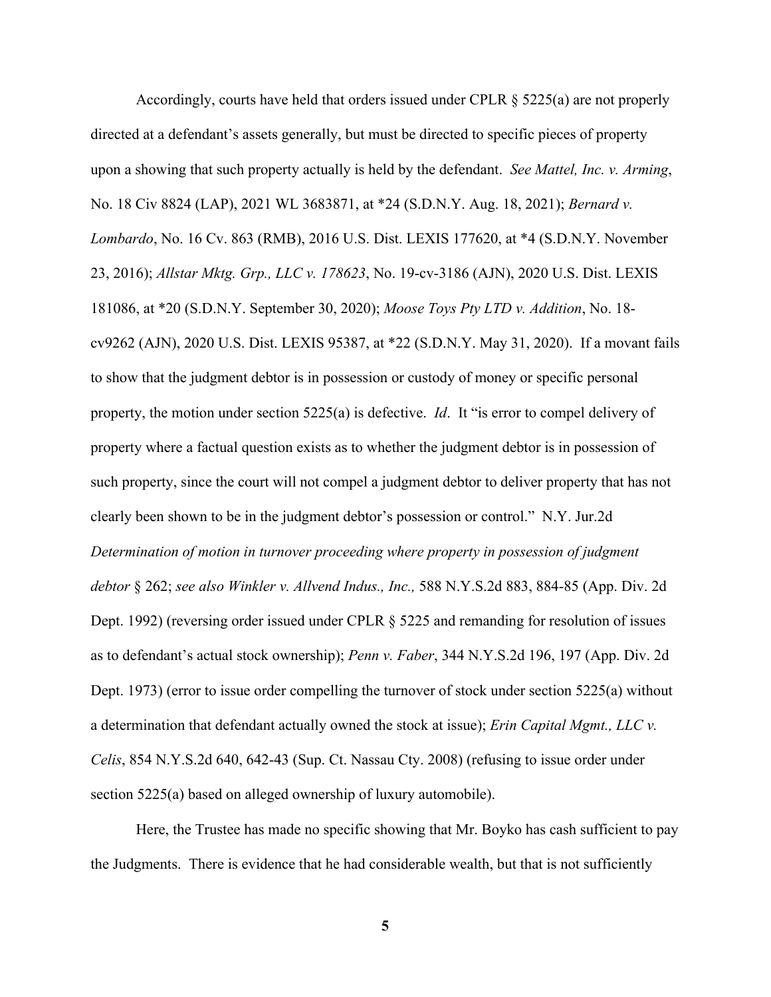Accordingly, courts have held that orders issued under CPLR § 5225(a) are not properly directed at a defendant's assets generally, but must be directed to specific pieces of property upon a showing that such property actually is held by the defendant. *See Mattel, Inc. v. Arming*, No. 18 Civ 8824 (LAP), 2021 WL 3683871, at \*24 (S.D.N.Y. Aug. 18, 2021); *Bernard v. Lombardo*, No. 16 Cv. 863 (RMB), 2016 U.S. Dist. LEXIS 177620, at \*4 (S.D.N.Y. November 23, 2016); *Allstar Mktg. Grp., LLC v. 178623*, No. 19-cv-3186 (AJN), 2020 U.S. Dist. LEXIS 181086, at \*20 (S.D.N.Y. September 30, 2020); *Moose Toys Pty LTD v. Addition*, No. 18 cv9262 (AJN), 2020 U.S. Dist. LEXIS 95387, at \*22 (S.D.N.Y. May 31, 2020). If a movant fails to show that the judgment debtor is in possession or custody of money or specific personal property, the motion under section 5225(a) is defective. *Id*. It "is error to compel delivery of property where a factual question exists as to whether the judgment debtor is in possession of such property, since the court will not compel a judgment debtor to deliver property that has not clearly been shown to be in the judgment debtor's possession or control." N.Y. Jur.2d *Determination of motion in turnover proceeding where property in possession of judgment debtor* § 262; *see also Winkler v. Allvend Indus., Inc.,* 588 N.Y.S.2d 883, 884-85 (App. Div. 2d Dept. 1992) (reversing order issued under CPLR  $\S$  5225 and remanding for resolution of issues as to defendant's actual stock ownership); *Penn v. Faber*, 344 N.Y.S.2d 196, 197 (App. Div. 2d Dept. 1973) (error to issue order compelling the turnover of stock under section 5225(a) without a determination that defendant actually owned the stock at issue); *Erin Capital Mgmt., LLC v. Celis*, 854 N.Y.S.2d 640, 642-43 (Sup. Ct. Nassau Cty. 2008) (refusing to issue order under section 5225(a) based on alleged ownership of luxury automobile).

Here, the Trustee has made no specific showing that Mr. Boyko has cash sufficient to pay the Judgments. There is evidence that he had considerable wealth, but that is not sufficiently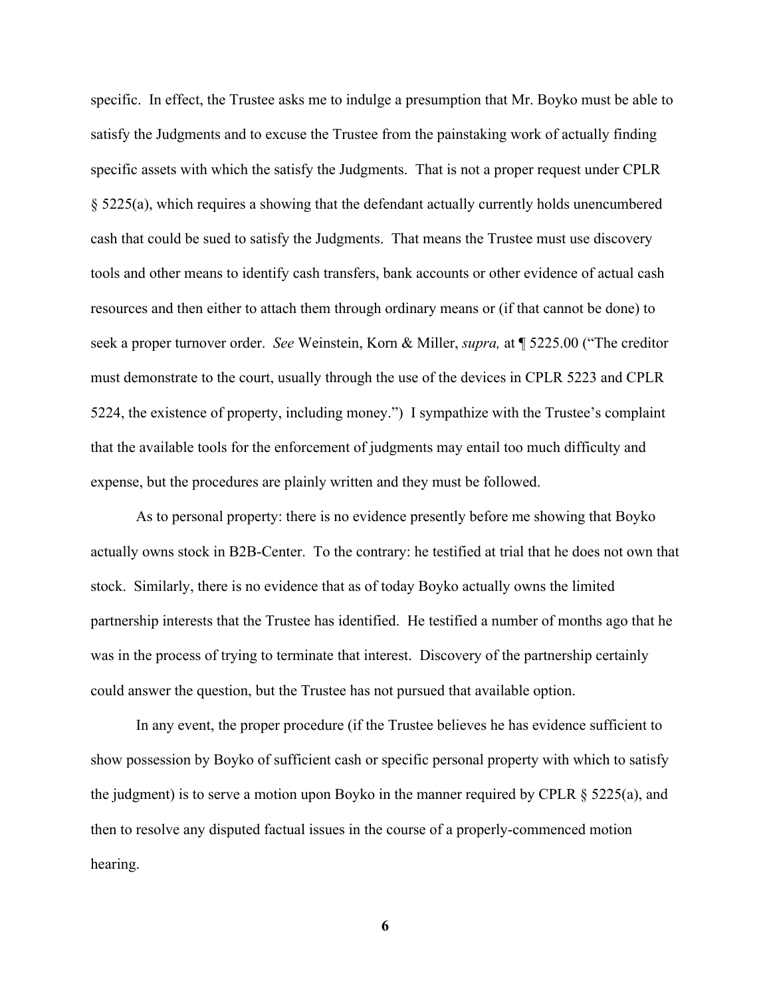specific. In effect, the Trustee asks me to indulge a presumption that Mr. Boyko must be able to satisfy the Judgments and to excuse the Trustee from the painstaking work of actually finding specific assets with which the satisfy the Judgments. That is not a proper request under CPLR § 5225(a), which requires a showing that the defendant actually currently holds unencumbered cash that could be sued to satisfy the Judgments. That means the Trustee must use discovery tools and other means to identify cash transfers, bank accounts or other evidence of actual cash resources and then either to attach them through ordinary means or (if that cannot be done) to seek a proper turnover order. *See* Weinstein, Korn & Miller, *supra,* at ¶ 5225.00 ("The creditor must demonstrate to the court, usually through the use of the devices in CPLR 5223 and CPLR 5224, the existence of property, including money.") I sympathize with the Trustee's complaint that the available tools for the enforcement of judgments may entail too much difficulty and expense, but the procedures are plainly written and they must be followed.

As to personal property: there is no evidence presently before me showing that Boyko actually owns stock in B2B-Center. To the contrary: he testified at trial that he does not own that stock. Similarly, there is no evidence that as of today Boyko actually owns the limited partnership interests that the Trustee has identified. He testified a number of months ago that he was in the process of trying to terminate that interest. Discovery of the partnership certainly could answer the question, but the Trustee has not pursued that available option.

In any event, the proper procedure (if the Trustee believes he has evidence sufficient to show possession by Boyko of sufficient cash or specific personal property with which to satisfy the judgment) is to serve a motion upon Boyko in the manner required by CPLR  $\S$  5225(a), and then to resolve any disputed factual issues in the course of a properly-commenced motion hearing.

**6**